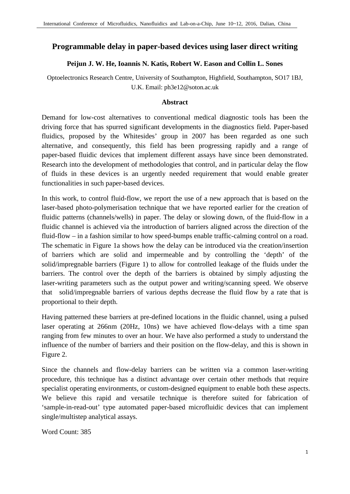## **Programmable delay in paper-based devices using laser direct writing**

## **Peijun J. W. He, Ioannis N. Katis, Robert W. Eason and Collin L. Sones**

Optoelectronics Research Centre, University of Southampton, Highfield, Southampton, SO17 1BJ, U.K. Email: ph3e12@soton.ac.uk

## **Abstract**

Demand for low-cost alternatives to conventional medical diagnostic tools has been the driving force that has spurred significant developments in the diagnostics field. Paper-based fluidics, proposed by the Whitesides' group in 2007 has been regarded as one such alternative, and consequently, this field has been progressing rapidly and a range of paper-based fluidic devices that implement different assays have since been demonstrated. Research into the development of methodologies that control, and in particular delay the flow of fluids in these devices is an urgently needed requirement that would enable greater functionalities in such paper-based devices.

In this work, to control fluid-flow, we report the use of a new approach that is based on the laser-based photo-polymerisation technique that we have reported earlier for the creation of fluidic patterns (channels/wells) in paper. The delay or slowing down, of the fluid-flow in a fluidic channel is achieved via the introduction of barriers aligned across the direction of the fluid-flow – in a fashion similar to how speed-bumps enable traffic-calming control on a road. The schematic in Figure 1a shows how the delay can be introduced via the creation/insertion of barriers which are solid and impermeable and by controlling the 'depth' of the solid/impregnable barriers (Figure 1) to allow for controlled leakage of the fluids under the barriers. The control over the depth of the barriers is obtained by simply adjusting the laser-writing parameters such as the output power and writing/scanning speed. We observe that solid/impregnable barriers of various depths decrease the fluid flow by a rate that is proportional to their depth.

Having patterned these barriers at pre-defined locations in the fluidic channel, using a pulsed laser operating at 266nm (20Hz, 10ns) we have achieved flow-delays with a time span ranging from few minutes to over an hour. We have also performed a study to understand the influence of the number of barriers and their position on the flow-delay, and this is shown in Figure 2.

Since the channels and flow-delay barriers can be written via a common laser-writing procedure, this technique has a distinct advantage over certain other methods that require specialist operating environments, or custom-designed equipment to enable both these aspects. We believe this rapid and versatile technique is therefore suited for fabrication of 'sample-in-read-out' type automated paper-based microfluidic devices that can implement single/multistep analytical assays.

Word Count: 385